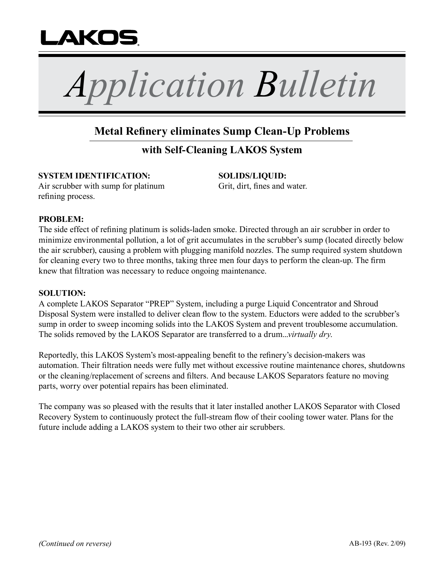

*Application Bulletin*

# **Metal Refinery eliminates Sump Clean-Up Problems**

## **with Self-Cleaning LAKOS System**

### **SYSTEM IDENTIFICATION:**

Air scrubber with sump for platinum refining process.

**SOLIDS/LIQUID:**  Grit, dirt, fines and water.

### **PROBLEM:**

The side effect of refining platinum is solids-laden smoke. Directed through an air scrubber in order to minimize environmental pollution, a lot of grit accumulates in the scrubber's sump (located directly below the air scrubber), causing a problem with plugging manifold nozzles. The sump required system shutdown for cleaning every two to three months, taking three men four days to perform the clean-up. The firm knew that filtration was necessary to reduce ongoing maintenance.

#### **SOLUTION:**

A complete LAKOS Separator "PREP" System, including a purge Liquid Concentrator and Shroud Disposal System were installed to deliver clean flow to the system. Eductors were added to the scrubber's sump in order to sweep incoming solids into the LAKOS System and prevent troublesome accumulation. The solids removed by the LAKOS Separator are transferred to a drum...*virtually dry*.

Reportedly, this LAKOS System's most-appealing benefit to the refinery's decision-makers was automation. Their filtration needs were fully met without excessive routine maintenance chores, shutdowns or the cleaning/replacement of screens and filters. And because LAKOS Separators feature no moving parts, worry over potential repairs has been eliminated.

The company was so pleased with the results that it later installed another LAKOS Separator with Closed Recovery System to continuously protect the full-stream flow of their cooling tower water. Plans for the future include adding a LAKOS system to their two other air scrubbers.